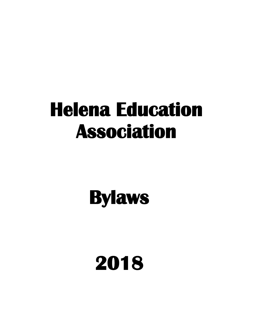# **Helena Education Association**

# **Bylaws**

# **2018**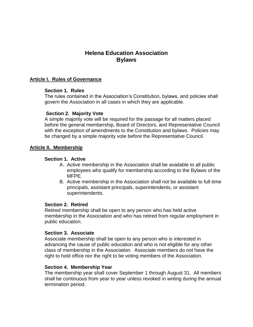# **Helena Education Association Bylaws**

### **Article I. Rules of Governance**

#### **Section 1. Rules**

The rules contained in the Association's Constitution, bylaws, and policies shall govern the Association in all cases in which they are applicable.

### **Section 2. Majority Vote**

A simple majority vote will be required for the passage for all matters placed before the general membership, Board of Directors, and Representative Council with the exception of amendments to the Constitution and bylaws. Policies may be changed by a simple majority vote before the Representative Council.

### **Article II. Membership**

### **Section 1. Active**

- A. Active membership in the Association shall be available to all public employees who qualify for membership according to the Bylaws of the MFPE.
- B. Active membership in the Association shall not be available to full-time principals, assistant principals, superintendents, or assistant superintendents.

#### **Section 2. Retired**

Retired membership shall be open to any person who has held active membership in the Association and who has retired from regular employment in public education.

#### **Section 3. Associate**

Associate membership shall be open to any person who is interested in advancing the cause of public education and who is not eligible for any other class of membership in the Association. Associate members do not have the right to hold office nor the right to be voting members of the Association.

#### **Section 4. Membership Year**

The membership year shall cover September 1 through August 31. All members shall be continuous from year to year unless revoked in writing during the annual termination period.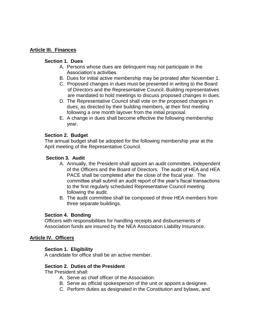## **Article III. Finances**

## **Section 1. Dues**

- A. Persons whose dues are delinquent may not participate in the Association's activities.
- B. Dues for initial active membership may be prorated after November 1.
- C. Proposed changes in dues must be presented in writing to the Board of Directors and the Representative Council. Building representatives are mandated to hold meetings to discuss proposed changes in dues.
- D. The Representative Council shall vote on the proposed changes in dues, as directed by their building members, at their first meeting following a one month layover from the initial proposal.
- E. A change in dues shall become effective the following membership year.

## **Section 2. Budget**

The annual budget shall be adopted for the following membership year at the April meeting of the Representative Council.

### **Section 3. Audit**

- A. Annually, the President shall appoint an audit committee, independent of the Officers and the Board of Directors. The audit of HEA and HEA PACE shall be completed after the close of the fiscal year. The committee shall submit an audit report of the year's fiscal transactions to the first regularly scheduled Representative Council meeting following the audit.
- B. The audit committee shall be composed of three HEA members from three separate buildings.

## **Section 4. Bonding**

Officers with responsibilities for handling receipts and disbursements of Association funds are insured by the NEA Association Liability Insurance.

#### **Article IV. Officers**

## **Section 1. Eligibility**

A candidate for office shall be an active member.

#### **Section 2. Duties of the President**

The President shall:

- A. Serve as chief officer of the Association.
- B. Serve as official spokesperson of the unit or appoint a designee.
- C. Perform duties as designated in the Constitution and bylaws, and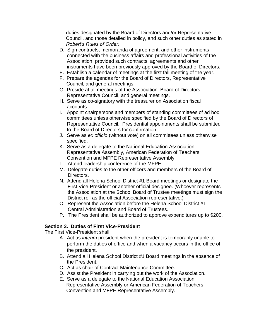duties designated by the Board of Directors and/or Representative Council, and those detailed in policy, and such other duties as stated in *Robert's Rules of Order*.

- D. Sign contracts, memoranda of agreement, and other instruments connected with the business affairs and professional activities of the Association, provided such contracts, agreements and other instruments have been previously approved by the Board of Directors.
- E. Establish a calendar of meetings at the first fall meeting of the year.
- F. Prepare the agendas for the Board of Directors, Representative Council, and general meetings.
- G. Preside at all meetings of the Association: Board of Directors, Representative Council, and general meetings.
- H. Serve as co-signatory with the treasurer on Association fiscal accounts.
- I. Appoint chairpersons and members of standing committees of ad hoc committees unless otherwise specified by the Board of Directors of Representative Council. Presidential appointments shall be submitted to the Board of Directors for confirmation.
- J. Serve as *ex officio* (without vote) on all committees unless otherwise specified.
- K. Serve as a delegate to the National Education Association Representative Assembly, American Federation of Teachers Convention and MFPE Representative Assembly.
- L. Attend leadership conference of the MFPE.
- M. Delegate duties to the other officers and members of the Board of Directors.
- N. Attend all Helena School District #1 Board meetings or designate the First Vice-President or another official designee. (Whoever represents the Association at the School Board of Trustee meetings must sign the District roll as the official Association representative.)
- O. Represent the Association before the Helena School District #1 Central Administration and Board of Trustees.
- P. The President shall be authorized to approve expenditures up to \$200.

# **Section 3. Duties of First Vice-President**

The First Vice-President shall:

- A. Act as *interim* president when the president is temporarily unable to perform the duties of office and when a vacancy occurs in the office of the president.
- B. Attend all Helena School District #1 Board meetings in the absence of the President.
- C. Act as chair of Contract Maintenance Committee.
- D. Assist the President in carrying out the work of the Association.
- E. Serve as a delegate to the National Education Association Representative Assembly or American Federation of Teachers Convention and MFPE Representative Assembly.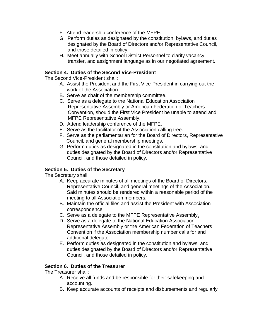- F. Attend leadership conference of the MFPE.
- G. Perform duties as designated by the constitution, bylaws, and duties designated by the Board of Directors and/or Representative Council, and those detailed in policy.
- H. Meet annually with School District Personnel to clarify vacancy, transfer, and assignment language as in our negotiated agreement.

## **Section 4. Duties of the Second Vice-President**

The Second Vice-President shall:

- A. Assist the President and the First Vice-President in carrying out the work of the Association.
- B. Serve as chair of the membership committee.
- C. Serve as a delegate to the National Education Association Representative Assembly or American Federation of Teachers Convention, should the First Vice President be unable to attend and MFPE Representative Assembly.
- D. Attend leadership conference of the MFPE.
- E. Serve as the facilitator of the Association calling tree.
- F. Serve as the parliamentarian for the Board of Directors, Representative Council, and general membership meetings.
- G. Perform duties as designated in the constitution and bylaws, and duties designated by the Board of Directors and/or Representative Council, and those detailed in policy.

# **Section 5. Duties of the Secretary**

The Secretary shall:

- A. Keep accurate minutes of all meetings of the Board of Directors, Representative Council, and general meetings of the Association. Said minutes should be rendered within a reasonable period of the meeting to all Association members.
- B. Maintain the official files and assist the President with Association correspondence.
- C. Serve as a delegate to the MFPE Representative Assembly.
- D. Serve as a delegate to the National Education Association Representative Assembly or the American Federation of Teachers Convention if the Association membership number calls for and additional delegate.
- E. Perform duties as designated in the constitution and bylaws, and duties designated by the Board of Directors and/or Representative Council, and those detailed in policy.

# **Section 6. Duties of the Treasurer**

The Treasurer shall:

- A. Receive all funds and be responsible for their safekeeping and accounting.
- B. Keep accurate accounts of receipts and disbursements and regularly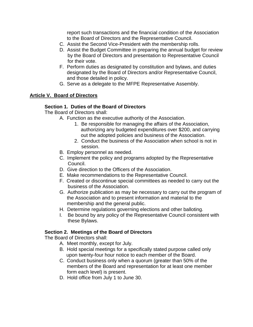report such transactions and the financial condition of the Association to the Board of Directors and the Representative Council.

- C. Assist the Second Vice-President with the membership rolls.
- D. Assist the Budget Committee in preparing the annual budget for review by the Board of Directors and presentation to Representative Council for their vote.
- F. Perform duties as designated by constitution and bylaws, and duties designated by the Board of Directors and/or Representative Council, and those detailed in policy.
- G. Serve as a delegate to the MFPE Representative Assembly.

# **Article V. Board of Directors**

## **Section 1. Duties of the Board of Directors**

The Board of Directors shall:

- A. Function as the executive authority of the Association.
	- 1. Be responsible for managing the affairs of the Association, authorizing any budgeted expenditures over \$200, and carrying out the adopted policies and business of the Association.
	- 2. Conduct the business of the Association when school is not in session.
- B. Employ personnel as needed.
- C. Implement the policy and programs adopted by the Representative Council.
- D. Give direction to the Officers of the Association.
- E. Make recommendations to the Representative Council.
- F. Created or discontinue special committees as needed to carry out the business of the Association.
- G. Authorize publication as may be necessary to carry out the program of the Association and to present information and material to the membership and the general public.
- H. Determine regulations governing elections and other balloting.
- I. Be bound by any policy of the Representative Council consistent with these Bylaws.

## **Section 2. Meetings of the Board of Directors**

The Board of Directors shall:

- A. Meet monthly, except for July.
- B. Hold special meetings for a specifically stated purpose called only upon twenty-four hour notice to each member of the Board.
- C. Conduct business only when a quorum (greater than 50% of the members of the Board and representation for at least one member form each level) is present.
- D. Hold office from July 1 to June 30.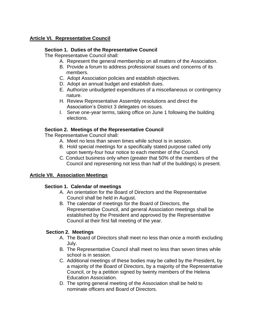# **Article VI. Representative Council**

# **Section 1. Duties of the Representative Council**

The Representative Council shall:

- A. Represent the general membership on all matters of the Association.
- B. Provide a forum to address professional issues and concerns of its members.
- C. Adopt Association policies and establish objectives.
- D. Adopt an annual budget and establish dues.
- E. Authorize unbudgeted expenditures of a miscellaneous or contingency nature.
- H. Review Representative Assembly resolutions and direct the Association's District 3 delegates on issues.
- I. Serve one-year terms, taking office on June 1 following the building elections.

## **Section 2. Meetings of the Representative Council**

The Representative Council shall:

- A. Meet no less than seven times while school is in session.
- B. Hold special meetings for a specifically stated purpose called only upon twenty-four hour notice to each member of the Council.
- C. Conduct business only when (greater that 50% of the members of the Council and representing not less than half of the buildings) is present.

# **Article VII. Association Meetings**

# **Section 1. Calendar of meetings**

- A. An orientation for the Board of Directors and the Representative Council shall be held in August.
- B. The calendar of meetings for the Board of Directors, the Representative Council, and general Association meetings shall be established by the President and approved by the Representative Council at their first fall meeting of the year.

# **Section 2. Meetings**

- A. The Board of Directors shall meet no less than once a month excluding July.
- B. The Representative Council shall meet no less than seven times while school is in session.
- C. Additional meetings of these bodies may be called by the President, by a majority of the Board of Directors, by a majority of the Representative Council, or by a petition signed by twenty members of the Helena Education Association.
- D. The spring general meeting of the Association shall be held to nominate officers and Board of Directors.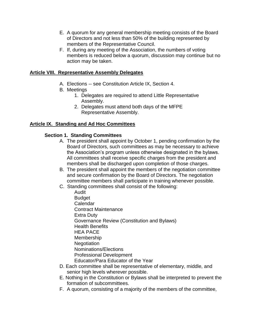- E. A quorum for any general membership meeting consists of the Board of Directors and not less than 50% of the building represented by members of the Representative Council.
- F. If, during any meeting of the Association, the numbers of voting members is reduced below a quorum, discussion may continue but no action may be taken.

# **Article VIII. Representative Assembly Delegates**

- A. Elections -- see Constitution Article IX, Section 4.
- B. Meetings
	- 1. Delegates are required to attend Little Representative Assembly.
	- 2. Delegates must attend both days of the MFPE Representative Assembly.

## **Article IX. Standing and Ad Hoc Committees**

## **Section 1. Standing Committees**

- A. The president shall appoint by October 1, pending confirmation by the Board of Directors, such committees as may be necessary to achieve the Association's program unless otherwise designated in the bylaws. All committees shall receive specific charges from the president and members shall be discharged upon completion of those charges.
- B. The president shall appoint the members of the negotiation committee and secure confirmation by the Board of Directors. The negotiation committee members shall participate in training whenever possible.
- C. Standing committees shall consist of the following:
	- Audit **Budget** Calendar Contract Maintenance Extra Duty Governance Review (Constitution and Bylaws) Health Benefits HEA PACE Membership **Negotiation** Nominations/Elections Professional Development Educator/Para Educator of the Year
- D. Each committee shall be representative of elementary, middle, and senior high levels wherever possible.
- E. Nothing in the Constitution or Bylaws shall be interpreted to prevent the formation of subcommittees.
- F. A quorum, consisting of a majority of the members of the committee,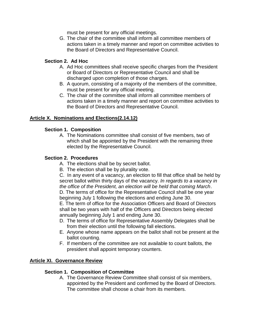must be present for any official meetings.

G. The chair of the committee shall inform all committee members of actions taken in a timely manner and report on committee activities to the Board of Directors and Representative Council.

# **Section 2. Ad Hoc**

- A. Ad Hoc committees shall receive specific charges from the President or Board of Directors or Representative Council and shall be discharged upon completion of those charges.
- B. A quorum, consisting of a majority of the members of the committee, must be present for any official meeting.
- C. The chair of the committee shall inform all committee members of actions taken in a timely manner and report on committee activities to the Board of Directors and Representative Council.

## **Article X. Nominations and Elections(2.14.12)**

## **Section 1. Composition**

A. The Nominations committee shall consist of five members, two of which shall be appointed by the President with the remaining three elected by the Representative Council.

### **Section 2. Procedures**

- A. The elections shall be by secret ballot.
- B. The election shall be by plurality vote.

C. In any event of a vacancy, an election to fill that office shall be held by secret ballot within thirty days of the vacancy. *In regards to a vacancy in the office of the President, an election will be held that coming March*.

D. The terms of office for the Representative Council shall be one year beginning July 1 following the elections and ending June 30.

E. The term of office for the Association Officers and Board of Directors shall be two years with half of the Officers and Directors being elected annually beginning July 1 and ending June 30.

- D. The terms of office for Representative Assembly Delegates shall be from their election until the following fall elections.
- E. Anyone whose name appears on the ballot shall not be present at the ballot counting.
- F. If members of the committee are not available to count ballots, the president shall appoint temporary counters.

## **Article XI. Governance Review**

## **Section 1. Composition of Committee**

A. The Governance Review Committee shall consist of six members, appointed by the President and confirmed by the Board of Directors. The committee shall choose a chair from its members.